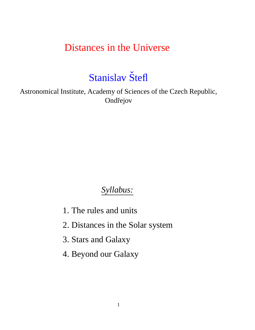### Distances in the Universe

# Stanislav Štefl

Astronomical Institute, Academy of Sciences of the Czech Republic, Ondřejov

### *Syllabus:*

- 1. The rules and units
- 2. Distances in the Solar system
- 3. Stars and Galaxy
- 4. Beyond our Galaxy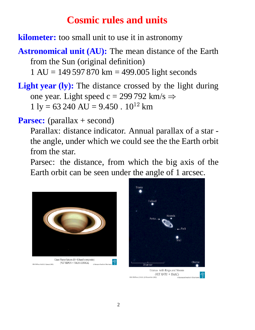### **Cosmic rules and units**

**kilometer:** too small unit to use it in astronomy

**Astronomical unit (AU):** The mean distance of the Earth from the Sun (original definition)

 $1 \text{ AU} = 149\,597\,870 \text{ km} = 499.005 \text{ light seconds}$ 

**Light year (ly):** The distance crossed by the light during one year. Light speed c = 299 792 km/s  $\Rightarrow$  $1 \text{ ly} = 63\,240 \text{ AU} = 9.450 \cdot 10^{12} \text{ km}$ 

**Parsec:** (parallax + second)

Parallax: distance indicator. Annual parallax of a star the angle, under which we could see the the Earth orbit from the star.

Parsec: the distance, from which the big axis of the Earth orbit can be seen under the angle of 1 arcsec.



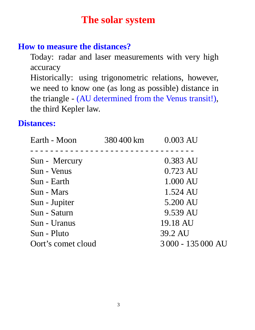### **The solar system**

#### **How to measure the distances?**

Today: radar and laser measurements with very high accuracy

Historically: using trigonometric relations, however, we need to know one (as long as possible) distance in the triangle - (AU determined from the Venus transit!), the third Kepler law.

#### **Distances:**

| 380400 km 0.003 AU |                  |
|--------------------|------------------|
|                    |                  |
|                    | 0.383 AU         |
|                    | 0.723 AU         |
|                    | 1.000 AU         |
|                    | 1.524 AU         |
|                    | 5.200 AU         |
|                    | 9.539 AU         |
|                    | 19.18 AU         |
|                    | 39.2 AU          |
|                    | 3000 - 135000 AU |
|                    |                  |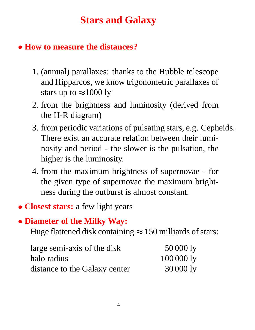## **Stars and Galaxy**

### **How to measure the distances?**

- 1. (annual) parallaxes: thanks to the Hubble telescope and Hipparcos, we know trigonometric parallaxes of stars up to  $\approx$  1000 ly
- 2. from the brightness and luminosity (derived from the H-R diagram)
- 3. from periodic variations of pulsating stars, e.g. Cepheids. There exist an accurate relation between their luminosity and period - the slower is the pulsation, the higher is the luminosity.
- 4. from the maximum brightness of supernovae for the given type of supernovae the maximum brightness during the outburst is almost constant.
- **Closest stars:** a few light years

### **Diameter of the Milky Way:**

Huge flattened disk containing  $\approx 150$  milliards of stars:

| large semi-axis of the disk   | 50 000 ly |
|-------------------------------|-----------|
| halo radius                   | 1000001y  |
| distance to the Galaxy center | 30 000 ly |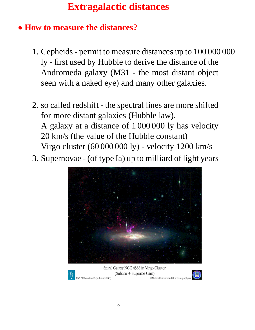# **Extragalactic distances**

### **How to measure the distances?**

- 1. Cepheids permit to measure distances up to 100 000 000 ly - first used by Hubble to derive the distance of the Andromeda galaxy (M31 - the most distant object seen with a naked eye) and many other galaxies.
- 2. so called redshift the spectral lines are more shifted for more distant galaxies (Hubble law). A galaxy at a distance of 1 000 000 ly has velocity 20 km/s (the value of the Hubble constant) Virgo cluster (60 000 000 ly) - velocity 1200 km/s
- 3. Supernovae (of type Ia) up to milliard of light years